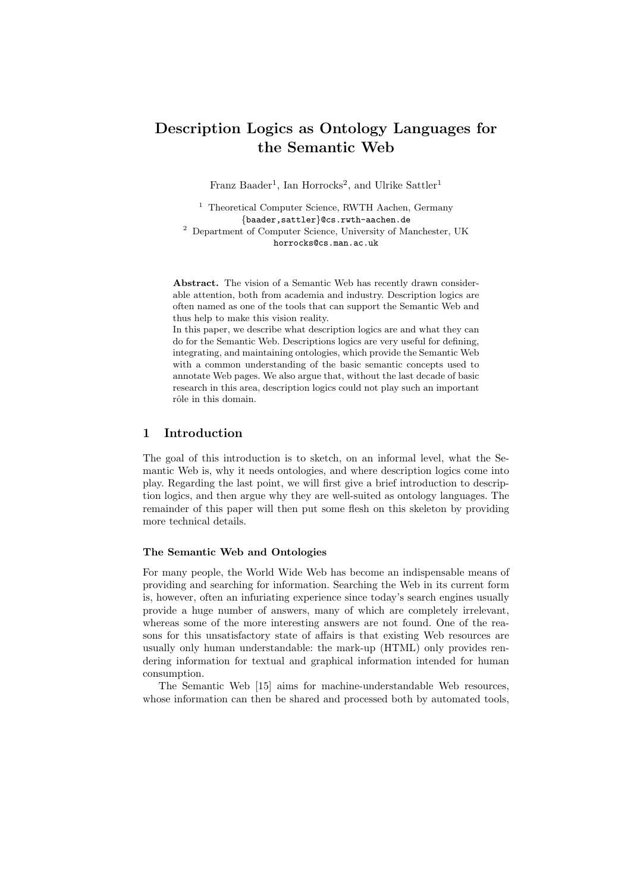# Description Logics as Ontology Languages for the Semantic Web

Franz Baader<sup>1</sup>, Ian Horrocks<sup>2</sup>, and Ulrike Sattler<sup>1</sup>

<sup>1</sup> Theoretical Computer Science, RWTH Aachen, Germany {baader,sattler}@cs.rwth-aachen.de <sup>2</sup> Department of Computer Science, University of Manchester, UK

horrocks@cs.man.ac.uk

Abstract. The vision of a Semantic Web has recently drawn considerable attention, both from academia and industry. Description logics are often named as one of the tools that can support the Semantic Web and thus help to make this vision reality.

In this paper, we describe what description logics are and what they can do for the Semantic Web. Descriptions logics are very useful for defining, integrating, and maintaining ontologies, which provide the Semantic Web with a common understanding of the basic semantic concepts used to annotate Web pages. We also argue that, without the last decade of basic research in this area, description logics could not play such an important rôle in this domain.

# 1 Introduction

The goal of this introduction is to sketch, on an informal level, what the Semantic Web is, why it needs ontologies, and where description logics come into play. Regarding the last point, we will first give a brief introduction to description logics, and then argue why they are well-suited as ontology languages. The remainder of this paper will then put some flesh on this skeleton by providing more technical details.

### The Semantic Web and Ontologies

For many people, the World Wide Web has become an indispensable means of providing and searching for information. Searching the Web in its current form is, however, often an infuriating experience since today's search engines usually provide a huge number of answers, many of which are completely irrelevant, whereas some of the more interesting answers are not found. One of the reasons for this unsatisfactory state of affairs is that existing Web resources are usually only human understandable: the mark-up (HTML) only provides rendering information for textual and graphical information intended for human consumption.

The Semantic Web [15] aims for machine-understandable Web resources, whose information can then be shared and processed both by automated tools,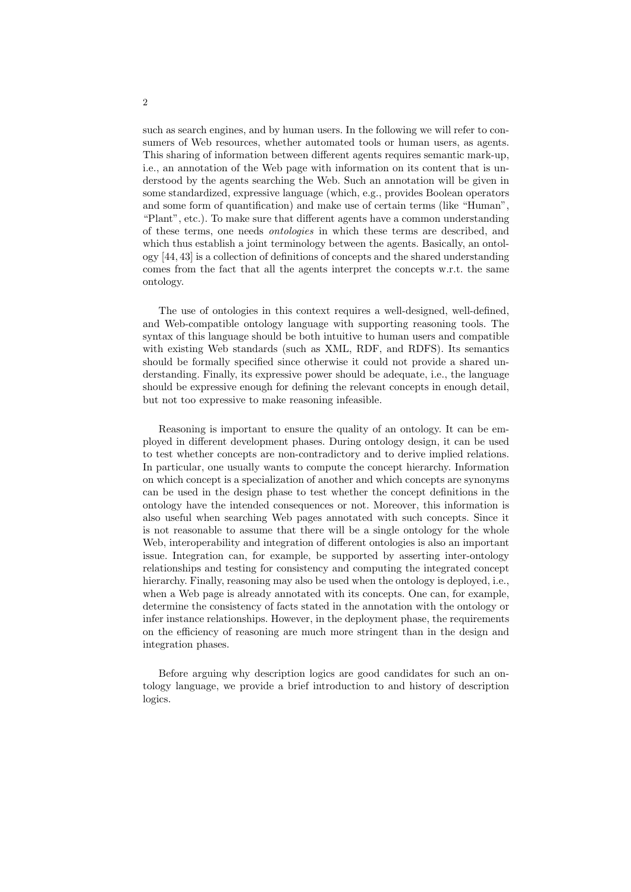such as search engines, and by human users. In the following we will refer to consumers of Web resources, whether automated tools or human users, as agents. This sharing of information between different agents requires semantic mark-up, i.e., an annotation of the Web page with information on its content that is understood by the agents searching the Web. Such an annotation will be given in some standardized, expressive language (which, e.g., provides Boolean operators and some form of quantification) and make use of certain terms (like "Human", "Plant", etc.). To make sure that different agents have a common understanding of these terms, one needs ontologies in which these terms are described, and which thus establish a joint terminology between the agents. Basically, an ontology [44, 43] is a collection of definitions of concepts and the shared understanding comes from the fact that all the agents interpret the concepts w.r.t. the same ontology.

The use of ontologies in this context requires a well-designed, well-defined, and Web-compatible ontology language with supporting reasoning tools. The syntax of this language should be both intuitive to human users and compatible with existing Web standards (such as XML, RDF, and RDFS). Its semantics should be formally specified since otherwise it could not provide a shared understanding. Finally, its expressive power should be adequate, i.e., the language should be expressive enough for defining the relevant concepts in enough detail, but not too expressive to make reasoning infeasible.

Reasoning is important to ensure the quality of an ontology. It can be employed in different development phases. During ontology design, it can be used to test whether concepts are non-contradictory and to derive implied relations. In particular, one usually wants to compute the concept hierarchy. Information on which concept is a specialization of another and which concepts are synonyms can be used in the design phase to test whether the concept definitions in the ontology have the intended consequences or not. Moreover, this information is also useful when searching Web pages annotated with such concepts. Since it is not reasonable to assume that there will be a single ontology for the whole Web, interoperability and integration of different ontologies is also an important issue. Integration can, for example, be supported by asserting inter-ontology relationships and testing for consistency and computing the integrated concept hierarchy. Finally, reasoning may also be used when the ontology is deployed, i.e., when a Web page is already annotated with its concepts. One can, for example, determine the consistency of facts stated in the annotation with the ontology or infer instance relationships. However, in the deployment phase, the requirements on the efficiency of reasoning are much more stringent than in the design and integration phases.

Before arguing why description logics are good candidates for such an ontology language, we provide a brief introduction to and history of description logics.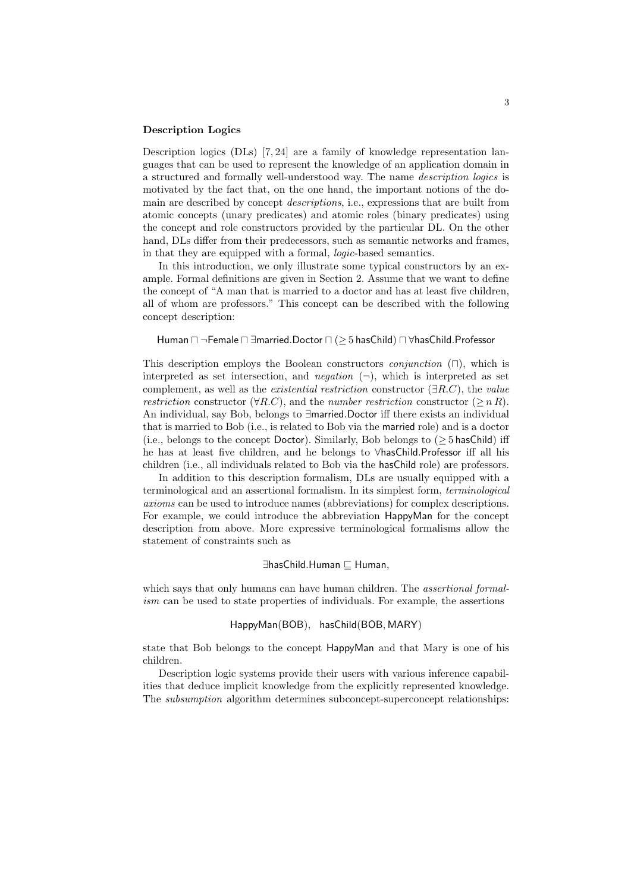#### Description Logics

Description logics (DLs) [7, 24] are a family of knowledge representation languages that can be used to represent the knowledge of an application domain in a structured and formally well-understood way. The name description logics is motivated by the fact that, on the one hand, the important notions of the domain are described by concept descriptions, i.e., expressions that are built from atomic concepts (unary predicates) and atomic roles (binary predicates) using the concept and role constructors provided by the particular DL. On the other hand, DLs differ from their predecessors, such as semantic networks and frames, in that they are equipped with a formal, logic-based semantics.

In this introduction, we only illustrate some typical constructors by an example. Formal definitions are given in Section 2. Assume that we want to define the concept of "A man that is married to a doctor and has at least five children, all of whom are professors." This concept can be described with the following concept description:

### Human  $\sqcap$  ¬Female  $\sqcap$  ∃married.Doctor  $\sqcap$  ( $\geq$  5 hasChild)  $\sqcap$   $\forall$ hasChild.Professor

This description employs the Boolean constructors *conjunction*  $(\square)$ , which is interpreted as set intersection, and negation  $(\neg)$ , which is interpreted as set complement, as well as the *existential restriction* constructor ( $\exists R.C$ ), the *value* restriction constructor ( $\forall R.C$ ), and the *number restriction* constructor ( $\geq n R$ ). An individual, say Bob, belongs to ∃married.Doctor iff there exists an individual that is married to Bob (i.e., is related to Bob via the married role) and is a doctor (i.e., belongs to the concept Doctor). Similarly, Bob belongs to  $($ > 5 has Child) iff he has at least five children, and he belongs to ∀hasChild.Professor iff all his children (i.e., all individuals related to Bob via the hasChild role) are professors.

In addition to this description formalism, DLs are usually equipped with a terminological and an assertional formalism. In its simplest form, terminological axioms can be used to introduce names (abbreviations) for complex descriptions. For example, we could introduce the abbreviation HappyMan for the concept description from above. More expressive terminological formalisms allow the statement of constraints such as

### ∃hasChild.Human <sup>L</sup> Human,

which says that only humans can have human children. The *assertional formal*ism can be used to state properties of individuals. For example, the assertions

### HappyMan(BOB), hasChild(BOB, MARY)

state that Bob belongs to the concept HappyMan and that Mary is one of his children.

Description logic systems provide their users with various inference capabilities that deduce implicit knowledge from the explicitly represented knowledge. The subsumption algorithm determines subconcept-superconcept relationships: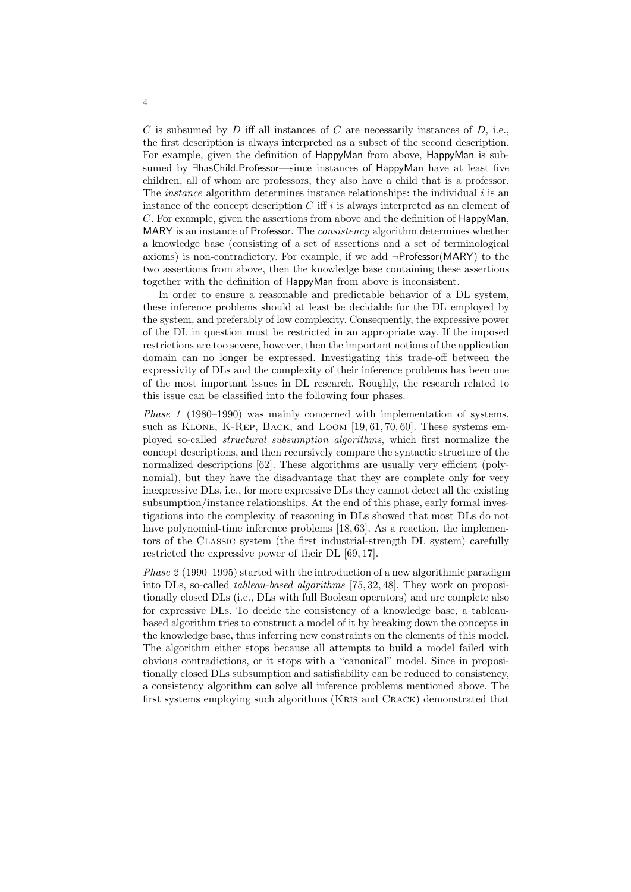C is subsumed by D iff all instances of C are necessarily instances of  $D$ , i.e., the first description is always interpreted as a subset of the second description. For example, given the definition of HappyMan from above, HappyMan is subsumed by ∃hasChild.Professor—since instances of HappyMan have at least five children, all of whom are professors, they also have a child that is a professor. The *instance* algorithm determines instance relationships: the individual  $i$  is an instance of the concept description  $C$  iff i is always interpreted as an element of C. For example, given the assertions from above and the definition of HappyMan, MARY is an instance of Professor. The *consistency* algorithm determines whether a knowledge base (consisting of a set of assertions and a set of terminological axioms) is non-contradictory. For example, if we add  $\neg$ Professor(MARY) to the two assertions from above, then the knowledge base containing these assertions together with the definition of HappyMan from above is inconsistent.

In order to ensure a reasonable and predictable behavior of a DL system, these inference problems should at least be decidable for the DL employed by the system, and preferably of low complexity. Consequently, the expressive power of the DL in question must be restricted in an appropriate way. If the imposed restrictions are too severe, however, then the important notions of the application domain can no longer be expressed. Investigating this trade-off between the expressivity of DLs and the complexity of their inference problems has been one of the most important issues in DL research. Roughly, the research related to this issue can be classified into the following four phases.

Phase 1 (1980–1990) was mainly concerned with implementation of systems, such as Klone, K-Rep, Back, and Loom [19, 61, 70, 60]. These systems employed so-called structural subsumption algorithms, which first normalize the concept descriptions, and then recursively compare the syntactic structure of the normalized descriptions [62]. These algorithms are usually very efficient (polynomial), but they have the disadvantage that they are complete only for very inexpressive DLs, i.e., for more expressive DLs they cannot detect all the existing subsumption/instance relationships. At the end of this phase, early formal investigations into the complexity of reasoning in DLs showed that most DLs do not have polynomial-time inference problems [18, 63]. As a reaction, the implementors of the Classic system (the first industrial-strength DL system) carefully restricted the expressive power of their DL [69, 17].

Phase 2 (1990–1995) started with the introduction of a new algorithmic paradigm into DLs, so-called tableau-based algorithms [75, 32, 48]. They work on propositionally closed DLs (i.e., DLs with full Boolean operators) and are complete also for expressive DLs. To decide the consistency of a knowledge base, a tableaubased algorithm tries to construct a model of it by breaking down the concepts in the knowledge base, thus inferring new constraints on the elements of this model. The algorithm either stops because all attempts to build a model failed with obvious contradictions, or it stops with a "canonical" model. Since in propositionally closed DLs subsumption and satisfiability can be reduced to consistency, a consistency algorithm can solve all inference problems mentioned above. The first systems employing such algorithms (Kris and Crack) demonstrated that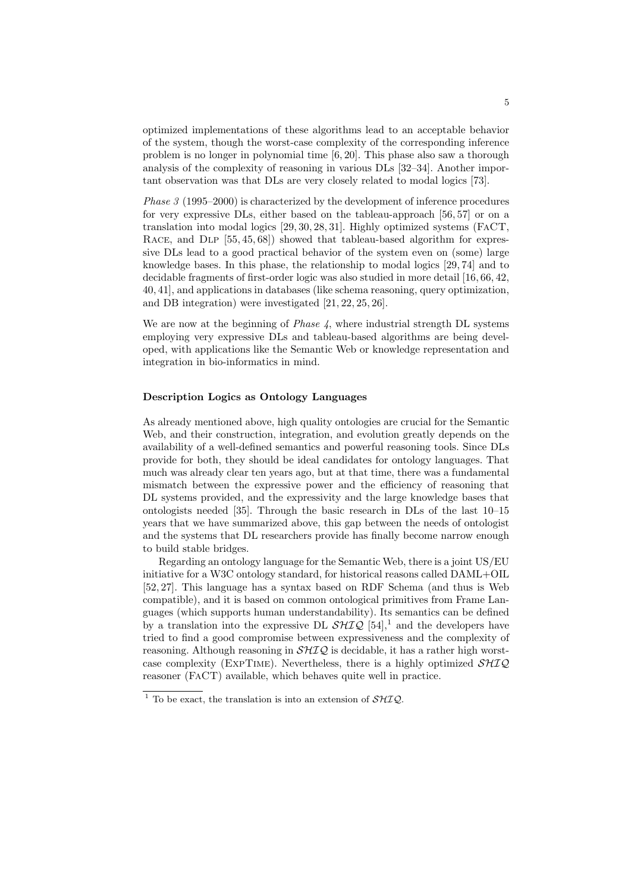optimized implementations of these algorithms lead to an acceptable behavior of the system, though the worst-case complexity of the corresponding inference problem is no longer in polynomial time [6, 20]. This phase also saw a thorough analysis of the complexity of reasoning in various DLs [32–34]. Another important observation was that DLs are very closely related to modal logics [73].

Phase 3 (1995–2000) is characterized by the development of inference procedures for very expressive DLs, either based on the tableau-approach [56, 57] or on a translation into modal logics [29, 30, 28, 31]. Highly optimized systems (FaCT, Race, and Dlp [55, 45, 68]) showed that tableau-based algorithm for expressive DLs lead to a good practical behavior of the system even on (some) large knowledge bases. In this phase, the relationship to modal logics [29, 74] and to decidable fragments of first-order logic was also studied in more detail [16, 66, 42, 40, 41], and applications in databases (like schema reasoning, query optimization, and DB integration) were investigated [21, 22, 25, 26].

We are now at the beginning of *Phase 4*, where industrial strength DL systems employing very expressive DLs and tableau-based algorithms are being developed, with applications like the Semantic Web or knowledge representation and integration in bio-informatics in mind.

#### Description Logics as Ontology Languages

As already mentioned above, high quality ontologies are crucial for the Semantic Web, and their construction, integration, and evolution greatly depends on the availability of a well-defined semantics and powerful reasoning tools. Since DLs provide for both, they should be ideal candidates for ontology languages. That much was already clear ten years ago, but at that time, there was a fundamental mismatch between the expressive power and the efficiency of reasoning that DL systems provided, and the expressivity and the large knowledge bases that ontologists needed [35]. Through the basic research in DLs of the last 10–15 years that we have summarized above, this gap between the needs of ontologist and the systems that DL researchers provide has finally become narrow enough to build stable bridges.

Regarding an ontology language for the Semantic Web, there is a joint US/EU initiative for a W3C ontology standard, for historical reasons called DAML+OIL [52, 27]. This language has a syntax based on RDF Schema (and thus is Web compatible), and it is based on common ontological primitives from Frame Languages (which supports human understandability). Its semantics can be defined by a translation into the expressive DL  $\mathcal{SHIQ}$  [54],<sup>1</sup> and the developers have tried to find a good compromise between expressiveness and the complexity of reasoning. Although reasoning in  $\mathcal{SHIQ}$  is decidable, it has a rather high worstcase complexity (EXPTIME). Nevertheless, there is a highly optimized  $\mathcal{SHIO}$ reasoner (FaCT) available, which behaves quite well in practice.

<sup>&</sup>lt;sup>1</sup> To be exact, the translation is into an extension of  $\mathcal{SHIQ}$ .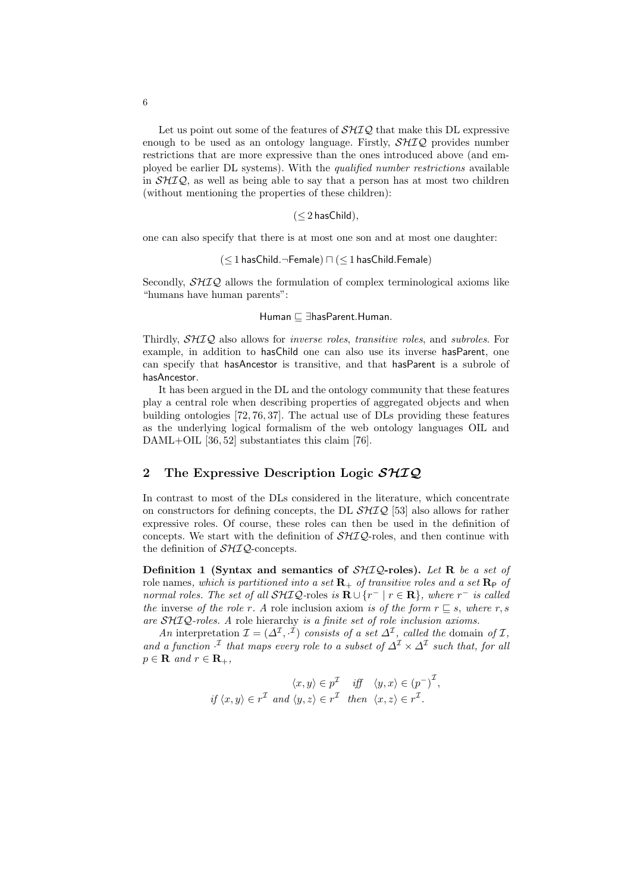Let us point out some of the features of  $\mathcal{SHIQ}$  that make this DL expressive enough to be used as an ontology language. Firstly,  $\mathcal{SHIQ}$  provides number restrictions that are more expressive than the ones introduced above (and employed be earlier DL systems). With the qualified number restrictions available in  $\mathcal{SHIQ}$ , as well as being able to say that a person has at most two children (without mentioning the properties of these children):

 $(< 2$  has Child),

one can also specify that there is at most one son and at most one daughter:

 $(≤1$  hasChild.¬Female)  $\Box$  (≤ 1 hasChild.Female)

Secondly,  $\mathcal{SHTQ}$  allows the formulation of complex terminological axioms like "humans have human parents":

Human  $\sqsubset \exists$ hasParent.Human.

Thirdly, SHIQ also allows for inverse roles, transitive roles, and subroles. For example, in addition to hasChild one can also use its inverse hasParent, one can specify that hasAncestor is transitive, and that hasParent is a subrole of hasAncestor.

It has been argued in the DL and the ontology community that these features play a central role when describing properties of aggregated objects and when building ontologies [72, 76, 37]. The actual use of DLs providing these features as the underlying logical formalism of the web ontology languages OIL and DAML+OIL [36, 52] substantiates this claim [76].

# 2 The Expressive Description Logic  $\mathcal{SHIQ}$

In contrast to most of the DLs considered in the literature, which concentrate on constructors for defining concepts, the DL  $\mathcal{SHQ}$  [53] also allows for rather expressive roles. Of course, these roles can then be used in the definition of concepts. We start with the definition of  $\mathcal{SHQ}$ -roles, and then continue with the definition of  $\mathcal{SHIQ}$ -concepts.

Definition 1 (Syntax and semantics of  $\mathcal{SHQ}\text{-roles}$ ). Let R be a set of role names, which is partitioned into a set  $\mathbf{R}_{+}$  of transitive roles and a set  $\mathbf{R}_{P}$  of normal roles. The set of all  $\mathcal{SHTQ}$ -roles is  $\mathbf{R} \cup \{r^- \mid r \in \mathbf{R}\}\,$ , where  $r^-$  is called the inverse of the role r. A role inclusion axiom is of the form  $r \subseteq s$ , where r, s are SHIQ-roles. A role hierarchy is a finite set of role inclusion axioms.

An interpretation  $\mathcal{I} = (\Delta^{\mathcal{I}}, \cdot^{\mathcal{I}})$  consists of a set  $\Delta^{\mathcal{I}}$ , called the domain of  $\mathcal{I}$ , and a function  $\cdot^{\mathcal{I}}$  that maps every role to a subset of  $\Delta^{\mathcal{I}} \times \Delta^{\mathcal{I}}$  such that, for all  $p \in \mathbf{R}$  and  $r \in \mathbf{R}_+$ ,

$$
\langle x, y \rangle \in p^{\mathcal{I}} \quad \text{iff} \quad \langle y, x \rangle \in (p^{-})^{\mathcal{I}},
$$
  
if  $\langle x, y \rangle \in r^{\mathcal{I}}$  and  $\langle y, z \rangle \in r^{\mathcal{I}}$  then  $\langle x, z \rangle \in r^{\mathcal{I}}$ .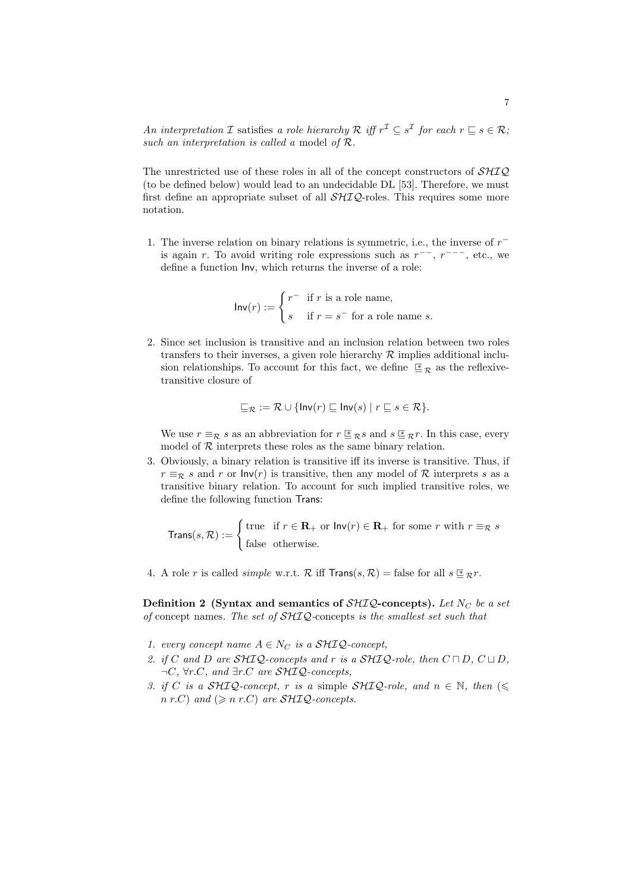An interpretation I satisfies a role hierarchy R iff  $r^{\mathcal{I}} \subseteq s^{\mathcal{I}}$  for each  $r \sqsubseteq s \in \mathcal{R}$ ; such an interpretation is called a model of  $\mathcal{R}$ .

The unrestricted use of these roles in all of the concept constructors of  $\mathcal{SHIQ}$ (to be defined below) would lead to an undecidable DL [53]. Therefore, we must first define an appropriate subset of all  $\mathcal{SHIQ}$ -roles. This requires some more notation.

1. The inverse relation on binary relations is symmetric, i.e., the inverse of  $r^$ is again r. To avoid writing role expressions such as  $r^{--}$ ,  $r^{---}$ , etc., we define a function Inv, which returns the inverse of a role:

> $\mathsf{Inv}(r) := \begin{cases} r^- & \text{if } r \text{ is a role name,} \\ 0 & \text{otherwise} \end{cases}$ s if  $r = s^-$  for a role name s.

2. Since set inclusion is transitive and an inclusion relation between two roles transfers to their inverses, a given role hierarchy  $R$  implies additional inclusion relationships. To account for this fact, we define  $\mathbb{E}_{\mathcal{R}}$  as the reflexivetransitive closure of

$$
\sqsubseteq_{\mathcal{R}} := \mathcal{R} \cup \{ \text{Inv}(r) \sqsubseteq \text{Inv}(s) \mid r \sqsubseteq s \in \mathcal{R} \}.
$$

We use  $r \equiv_{\mathcal{R}} s$  as an abbreviation for  $r \not\equiv_{\mathcal{R}} s$  and  $s \not\equiv_{\mathcal{R}} r$ . In this case, every model of  $R$  interprets these roles as the same binary relation.

3. Obviously, a binary relation is transitive iff its inverse is transitive. Thus, if  $r \equiv_{\mathcal{R}} s$  and r or  $Inv(r)$  is transitive, then any model of R interprets s as a transitive binary relation. To account for such implied transitive roles, we define the following function Trans:

$$
\mathsf{Trans}(s, \mathcal{R}) := \begin{cases} \text{true} & \text{if } r \in \mathbf{R}_+ \text{ or } \mathsf{Inv}(r) \in \mathbf{R}_+ \text{ for some } r \text{ with } r \equiv_{\mathcal{R}} s \\ \text{false} & \text{otherwise.} \end{cases}
$$

4. A role r is called *simple* w.r.t. R iff  $Trans(s, R)$  = false for all  $s \leq_R r$ .

Definition 2 (Syntax and semantics of  $\mathcal{SHIQ}$ -concepts). Let N<sub>C</sub> be a set of concept names. The set of SHIQ-concepts is the smallest set such that

- 1. every concept name  $A \in N_C$  is a  $\mathcal{SHIQ}$ -concept,
- 2. if C and D are SHIQ-concepts and r is a SHIQ-role, then  $C \sqcap D$ ,  $C \sqcup D$ ,  $\neg C$ ,  $\nforall r.C$ , and  $\exists r.C$  are  $\mathcal{SHIQ}\text{-concepts}$ ,
- 3. if C is a  $\mathcal{SHIQ}$ -concept, r is a simple  $\mathcal{SHIQ}$ -role, and  $n \in \mathbb{N}$ , then  $(\leq$  $n r.C$ ) and  $(\geqslant n r.C)$  are SHIQ-concepts.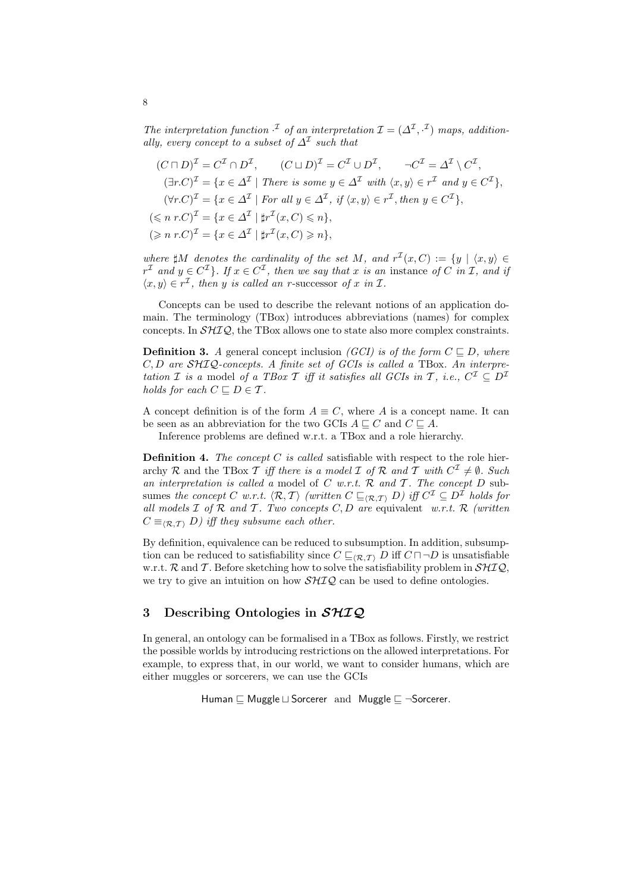The interpretation function  $\mathcal{I}$  of an interpretation  $\mathcal{I} = (\Delta^{\mathcal{I}}, \mathcal{I})$  maps, additionally, every concept to a subset of  $\Delta^{\mathcal{I}}$  such that

$$
(C \sqcap D)^{\mathcal{I}} = C^{\mathcal{I}} \cap D^{\mathcal{I}}, \qquad (C \sqcup D)^{\mathcal{I}} = C^{\mathcal{I}} \cup D^{\mathcal{I}}, \qquad \neg C^{\mathcal{I}} = \Delta^{\mathcal{I}} \setminus C^{\mathcal{I}},
$$
  
\n
$$
(\exists r.C)^{\mathcal{I}} = \{x \in \Delta^{\mathcal{I}} \mid \text{There is some } y \in \Delta^{\mathcal{I}} \text{ with } \langle x, y \rangle \in r^{\mathcal{I}} \text{ and } y \in C^{\mathcal{I}}\},\
$$
  
\n
$$
(\forall r.C)^{\mathcal{I}} = \{x \in \Delta^{\mathcal{I}} \mid \text{For all } y \in \Delta^{\mathcal{I}}, \text{ if } \langle x, y \rangle \in r^{\mathcal{I}}, \text{ then } y \in C^{\mathcal{I}}\},\
$$
  
\n
$$
(\leq n r.C)^{\mathcal{I}} = \{x \in \Delta^{\mathcal{I}} \mid \sharp r^{\mathcal{I}}(x, C) \leq n\},\
$$
  
\n
$$
(\geq n r.C)^{\mathcal{I}} = \{x \in \Delta^{\mathcal{I}} \mid \sharp r^{\mathcal{I}}(x, C) \geq n\},
$$

where  $\sharp M$  denotes the cardinality of the set M, and  $r^{\mathcal{I}}(x, C) := \{y \mid \langle x, y \rangle \in$  $r^{\mathcal{I}}$  and  $y \in C^{\mathcal{I}}$ . If  $x \in C^{\mathcal{I}}$ , then we say that x is an instance of C in I, and if  $\langle x, y \rangle \in r^{\mathcal{I}}$ , then y is called an r-successor of x in I.

Concepts can be used to describe the relevant notions of an application domain. The terminology (TBox) introduces abbreviations (names) for complex concepts. In  $\mathcal{SHTQ}$ , the TBox allows one to state also more complex constraints.

**Definition 3.** A general concept inclusion (GCI) is of the form  $C \subseteq D$ , where C, D are SHIQ-concepts. A finite set of GCIs is called a TBox. An interpretation *I* is a model of a TBox *T* iff it satisfies all GCIs in *T*, i.e.,  $C^{\mathcal{I}} \subseteq D^{\mathcal{I}}$ holds for each  $C \sqsubseteq D \in \mathcal{T}$ .

A concept definition is of the form  $A \equiv C$ , where A is a concept name. It can be seen as an abbreviation for the two GCIs  $A \sqsubseteq C$  and  $C \sqsubseteq A$ .

Inference problems are defined w.r.t. a TBox and a role hierarchy.

**Definition 4.** The concept C is called satisfiable with respect to the role hierarchy R and the TBox  $\mathcal T$  iff there is a model  $\mathcal I$  of R and  $\mathcal T$  with  $C^{\mathcal I}\neq \emptyset$ . Such an interpretation is called a model of  $C$  w.r.t.  $\mathcal R$  and  $\mathcal T$ . The concept  $D$  subsumes the concept C w.r.t.  $\langle R, T \rangle$  (written  $C \sqsubseteq_{\langle R, T \rangle} D$ ) iff  $C^{\mathcal{I}} \subseteq D^{\overline{\mathcal{I}}}$  holds for all models  $I$  of  $R$  and  $T$ . Two concepts  $C, D$  are equivalent w.r.t.  $R$  (written  $C \equiv_{(\mathcal{R},\mathcal{T})} D$ ) iff they subsume each other.

By definition, equivalence can be reduced to subsumption. In addition, subsumption can be reduced to satisfiability since  $C \sqsubseteq_{(\mathcal{R},\mathcal{T})} D$  iff  $C \sqcap \neg D$  is unsatisfiable w.r.t.  $\mathcal{R}$  and  $\mathcal{T}$ . Before sketching how to solve the satisfiability problem in  $\mathcal{SHIQ}$ , we try to give an intuition on how  $\mathcal{SHIQ}$  can be used to define ontologies.

# 3 Describing Ontologies in  $\mathcal{SHIQ}$

In general, an ontology can be formalised in a TBox as follows. Firstly, we restrict the possible worlds by introducing restrictions on the allowed interpretations. For example, to express that, in our world, we want to consider humans, which are either muggles or sorcerers, we can use the GCIs

Human  $\Box$  Muggle  $\Box$  Sorcerer and Muggle  $\Box$  ¬Sorcerer.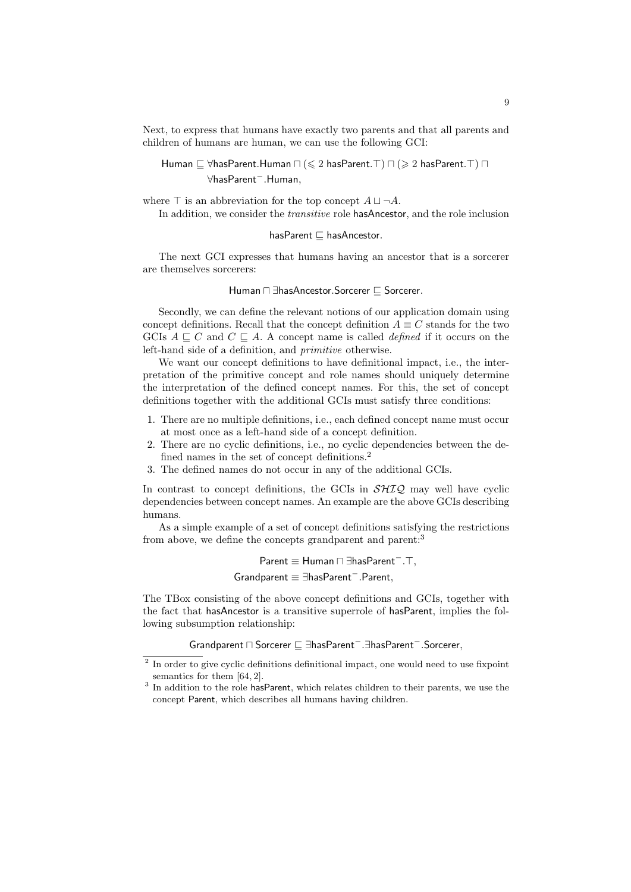Next, to express that humans have exactly two parents and that all parents and children of humans are human, we can use the following GCI:

Human  $\sqsubseteq \forall$ hasParent.Human  $\sqcap (\leqslant 2$  hasParent. $\top) \sqcap (\geqslant 2$  hasParent. $\top) \sqcap$ ∀hasParent<sup>−</sup>.Human,

where  $\top$  is an abbreviation for the top concept  $A \sqcup \neg A$ .

In addition, we consider the transitive role hasAncestor, and the role inclusion

### hasParent  $\sqsubset$  hasAncestor.

The next GCI expresses that humans having an ancestor that is a sorcerer are themselves sorcerers:

### Human  $\sqcap$  ∃hasAncestor.Sorcerer  $\sqsubseteq$  Sorcerer.

Secondly, we can define the relevant notions of our application domain using concept definitions. Recall that the concept definition  $A \equiv C$  stands for the two GCIs  $A \subseteq C$  and  $C \subseteq A$ . A concept name is called *defined* if it occurs on the left-hand side of a definition, and primitive otherwise.

We want our concept definitions to have definitional impact, i.e., the interpretation of the primitive concept and role names should uniquely determine the interpretation of the defined concept names. For this, the set of concept definitions together with the additional GCIs must satisfy three conditions:

- 1. There are no multiple definitions, i.e., each defined concept name must occur at most once as a left-hand side of a concept definition.
- 2. There are no cyclic definitions, i.e., no cyclic dependencies between the defined names in the set of concept definitions.<sup>2</sup>
- 3. The defined names do not occur in any of the additional GCIs.

In contrast to concept definitions, the GCIs in  $\mathcal{SHIQ}$  may well have cyclic dependencies between concept names. An example are the above GCIs describing humans.

As a simple example of a set of concept definitions satisfying the restrictions from above, we define the concepts grandparent and parent:<sup>3</sup>

```
Parent ≡ Human \Box ∃hasParent<sup>-</sup>.<sup>T</sup>,
Grandparent ≡ ∃hasParent−.Parent,
```
The TBox consisting of the above concept definitions and GCIs, together with the fact that hasAncestor is a transitive superrole of hasParent, implies the following subsumption relationship:

Grandparent  $\Box$  Sorcerer  $\Box$  ∃hasParent<sup>-</sup>.∃hasParent<sup>-</sup>.Sorcerer,

<sup>&</sup>lt;sup>2</sup> In order to give cyclic definitions definitional impact, one would need to use fixpoint semantics for them [64, 2].

<sup>&</sup>lt;sup>3</sup> In addition to the role hasParent, which relates children to their parents, we use the concept Parent, which describes all humans having children.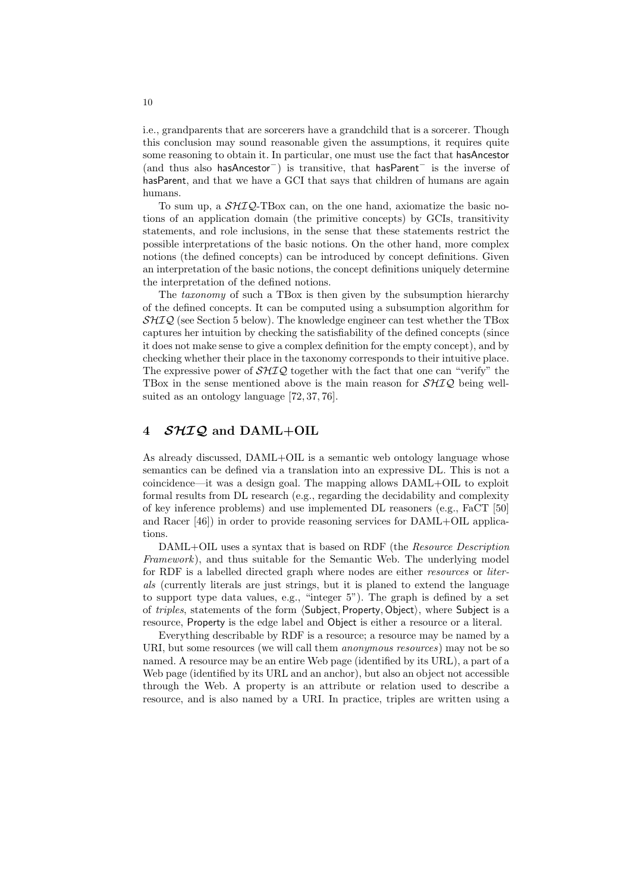i.e., grandparents that are sorcerers have a grandchild that is a sorcerer. Though this conclusion may sound reasonable given the assumptions, it requires quite some reasoning to obtain it. In particular, one must use the fact that hasAncestor (and thus also hasAncestor<sup>−</sup>) is transitive, that hasParent<sup>−</sup> is the inverse of hasParent, and that we have a GCI that says that children of humans are again humans.

To sum up, a  $\mathcal{SHIQ}\text{-}\text{TBox}$  can, on the one hand, axiomatize the basic notions of an application domain (the primitive concepts) by GCIs, transitivity statements, and role inclusions, in the sense that these statements restrict the possible interpretations of the basic notions. On the other hand, more complex notions (the defined concepts) can be introduced by concept definitions. Given an interpretation of the basic notions, the concept definitions uniquely determine the interpretation of the defined notions.

The taxonomy of such a TBox is then given by the subsumption hierarchy of the defined concepts. It can be computed using a subsumption algorithm for  $\mathcal{SHIQ}$  (see Section 5 below). The knowledge engineer can test whether the TBox captures her intuition by checking the satisfiability of the defined concepts (since it does not make sense to give a complex definition for the empty concept), and by checking whether their place in the taxonomy corresponds to their intuitive place. The expressive power of  $\mathcal{SHIQ}$  together with the fact that one can "verify" the TBox in the sense mentioned above is the main reason for  $\mathcal{SHIQ}$  being wellsuited as an ontology language [72, 37, 76].

# 4  $\mathcal{SHIQ}$  and DAML+OIL

As already discussed, DAML+OIL is a semantic web ontology language whose semantics can be defined via a translation into an expressive DL. This is not a coincidence—it was a design goal. The mapping allows DAML+OIL to exploit formal results from DL research (e.g., regarding the decidability and complexity of key inference problems) and use implemented DL reasoners (e.g., FaCT [50] and Racer [46]) in order to provide reasoning services for DAML+OIL applications.

DAML+OIL uses a syntax that is based on RDF (the Resource Description Framework), and thus suitable for the Semantic Web. The underlying model for RDF is a labelled directed graph where nodes are either resources or literals (currently literals are just strings, but it is planed to extend the language to support type data values, e.g., "integer 5"). The graph is defined by a set of triples, statements of the form (Subject, Property, Object), where Subject is a resource, Property is the edge label and Object is either a resource or a literal.

Everything describable by RDF is a resource; a resource may be named by a URI, but some resources (we will call them *anonymous resources*) may not be so named. A resource may be an entire Web page (identified by its URL), a part of a Web page (identified by its URL and an anchor), but also an object not accessible through the Web. A property is an attribute or relation used to describe a resource, and is also named by a URI. In practice, triples are written using a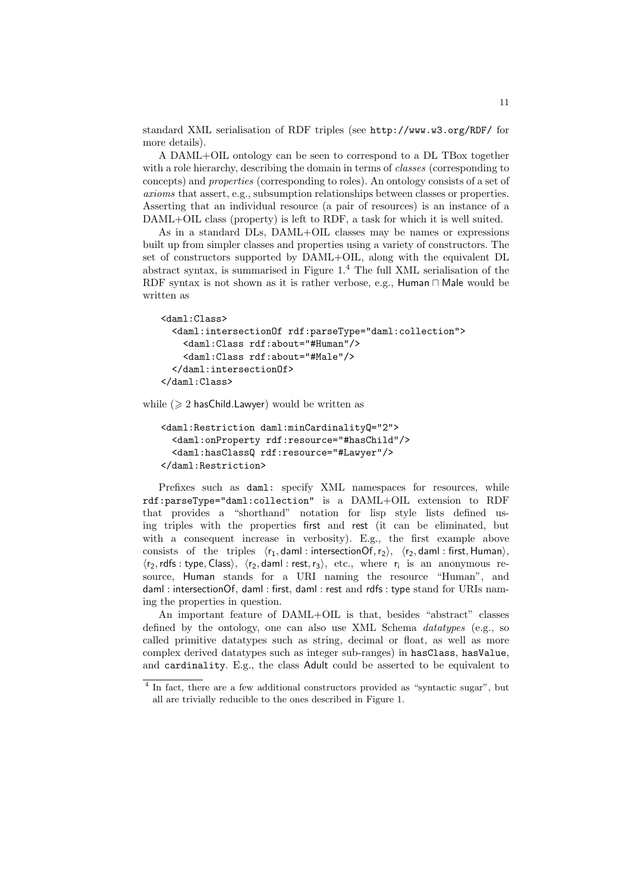standard XML serialisation of RDF triples (see http://www.w3.org/RDF/ for more details).

A DAML+OIL ontology can be seen to correspond to a DL TBox together with a role hierarchy, describing the domain in terms of *classes* (corresponding to concepts) and properties (corresponding to roles). An ontology consists of a set of axioms that assert, e.g., subsumption relationships between classes or properties. Asserting that an individual resource (a pair of resources) is an instance of a DAML+OIL class (property) is left to RDF, a task for which it is well suited.

As in a standard DLs, DAML+OIL classes may be names or expressions built up from simpler classes and properties using a variety of constructors. The set of constructors supported by DAML+OIL, along with the equivalent DL abstract syntax, is summarised in Figure  $1<sup>4</sup>$  The full XML serialisation of the RDF syntax is not shown as it is rather verbose, e.g., Human  $\Box$  Male would be written as

```
<daml:Class>
  <daml:intersectionOf rdf:parseType="daml:collection">
    <daml:Class rdf:about="#Human"/>
    <daml:Class rdf:about="#Male"/>
  </daml:intersectionOf>
</daml:Class>
```
while  $(2)$  has Child. Lawyer) would be written as

```
<daml:Restriction daml:minCardinalityQ="2">
  <daml:onProperty rdf:resource="#hasChild"/>
  <daml:hasClassQ rdf:resource="#Lawyer"/>
</daml:Restriction>
```
Prefixes such as daml: specify XML namespaces for resources, while rdf:parseType="daml:collection" is a DAML+OIL extension to RDF that provides a "shorthand" notation for lisp style lists defined using triples with the properties first and rest (it can be eliminated, but with a consequent increase in verbosity). E.g., the first example above consists of the triples  $\langle r_1,$  daml : intersectionOf,  $r_2$ ,  $\langle r_2,$  daml : first, Human),  $\langle r_2, r$ dfs : type, Class $\rangle$ ,  $\langle r_2,$  daml : rest,  $r_3\rangle$ , etc., where  $r_i$  is an anonymous resource, Human stands for a URI naming the resource "Human", and daml : intersectionOf, daml : first, daml : rest and rdfs : type stand for URIs naming the properties in question.

An important feature of DAML+OIL is that, besides "abstract" classes defined by the ontology, one can also use XML Schema *datatypes* (e.g., so called primitive datatypes such as string, decimal or float, as well as more complex derived datatypes such as integer sub-ranges) in hasClass, hasValue, and cardinality. E.g., the class Adult could be asserted to be equivalent to

<sup>&</sup>lt;sup>4</sup> In fact, there are a few additional constructors provided as "syntactic sugar", but all are trivially reducible to the ones described in Figure 1.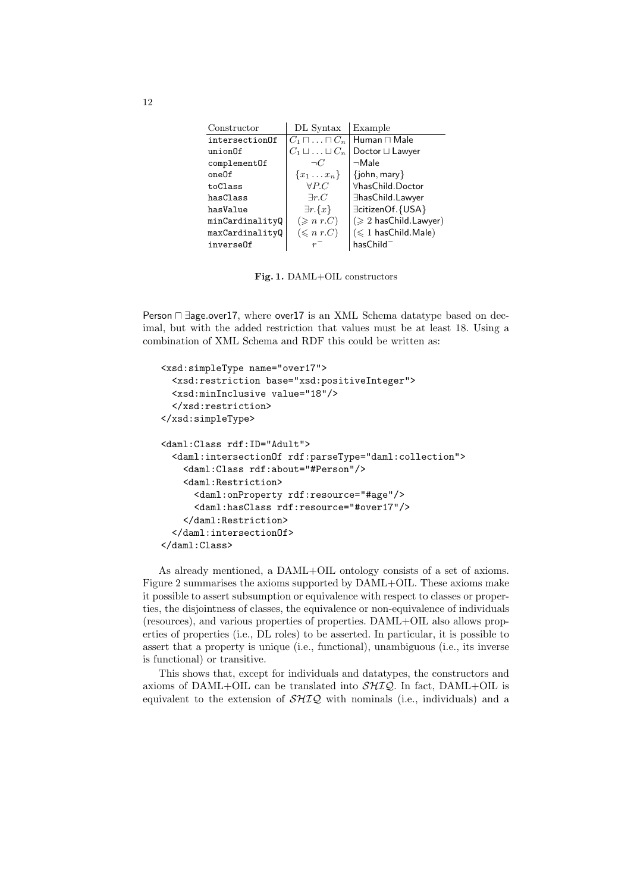| Constructor     | $DL$ Syntax          | Example                                               |
|-----------------|----------------------|-------------------------------------------------------|
| intersectionOf  |                      | $C_1 \sqcap \ldots \sqcap C_n$   Human $\sqcap$ Male  |
| unionOf         |                      | $C_1 \sqcup \ldots \sqcup C_n$ Doctor $\sqcup$ Lawyer |
| complementOf    | $\neg C$             | $\neg$ Male                                           |
| oneOf           | $\{x_1 \ldots x_n\}$ | $\{john, Mary\}$                                      |
| toClass         | $\forall P.C$        | ∀hasChild.Doctor                                      |
| hasClass        | $\exists r.C$        | ∃hasChild.Lawyer                                      |
| hasValue        | $\exists r.\{x\}$    | ∃citizenOf.{USA}                                      |
| minCardinalityQ | $(\geqslant n r.C)$  | $(2 2$ has Child. Lawyer)                             |
| maxCardinalityQ | $(\leqslant n r.C)$  | $(\leqslant 1$ has Child. Male)                       |
| inverseOf       |                      | $hasChild^-$                                          |

Fig. 1. DAML+OIL constructors

Person ⊓ ∃age.over17, where over17 is an XML Schema datatype based on decimal, but with the added restriction that values must be at least 18. Using a combination of XML Schema and RDF this could be written as:

```
<xsd:simpleType name="over17">
  <xsd:restriction base="xsd:positiveInteger">
  <xsd:minInclusive value="18"/>
  </xsd:restriction>
</xsd:simpleType>
<daml:Class rdf:ID="Adult">
 <daml:intersectionOf rdf:parseType="daml:collection">
    <daml:Class rdf:about="#Person"/>
    <daml:Restriction>
      <daml:onProperty rdf:resource="#age"/>
      <daml:hasClass rdf:resource="#over17"/>
    </daml:Restriction>
  </daml:intersectionOf>
</daml:Class>
```
As already mentioned, a DAML+OIL ontology consists of a set of axioms. Figure 2 summarises the axioms supported by DAML+OIL. These axioms make it possible to assert subsumption or equivalence with respect to classes or properties, the disjointness of classes, the equivalence or non-equivalence of individuals (resources), and various properties of properties. DAML+OIL also allows properties of properties (i.e., DL roles) to be asserted. In particular, it is possible to assert that a property is unique (i.e., functional), unambiguous (i.e., its inverse is functional) or transitive.

This shows that, except for individuals and datatypes, the constructors and axioms of DAML+OIL can be translated into  $\mathcal{SHIQ}$ . In fact, DAML+OIL is equivalent to the extension of  $\mathcal{SHIQ}$  with nominals (i.e., individuals) and a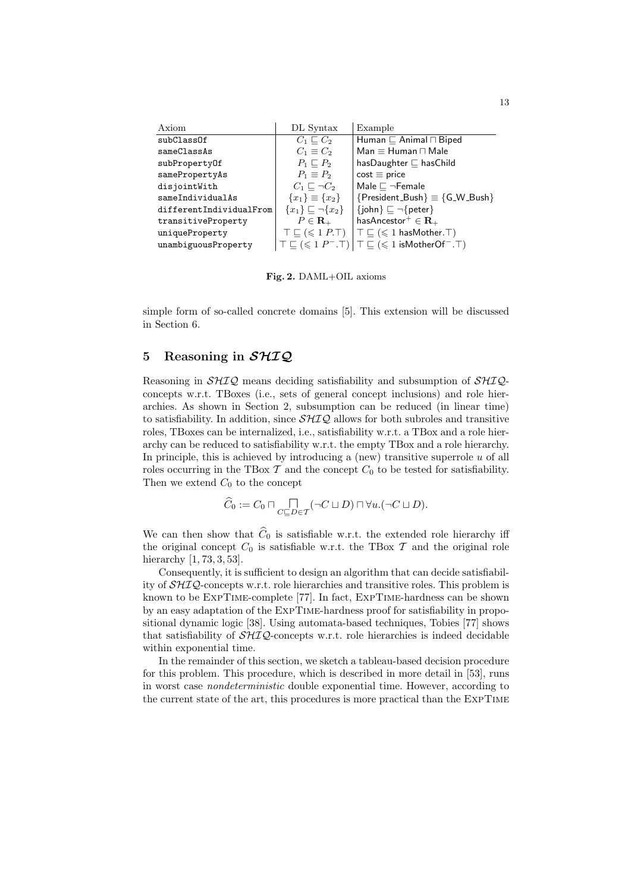| Axiom                   | DL Syntax                                     | Example                                                      |
|-------------------------|-----------------------------------------------|--------------------------------------------------------------|
| subClassOf              | $C_1 \sqsubset C_2$                           | Human $\sqsubseteq$ Animal $\sqcap$ Biped                    |
| sameClassAs             | $C_1 \equiv C_2$                              | $Man \equiv Human \sqcap Male$                               |
| subPropertyOf           | $P_1 \sqsubset P_2$                           | hasDaughter $\sqsubset$ hasChild                             |
| samePropertyAs          | $P_1 \equiv P_2$                              | $cost \equiv price$                                          |
| disjointWith            | $C_1 \sqsubset \neg C_2$                      | Male $\Box \neg$ Female                                      |
| sameIndividualAs        | ${x_1} \equiv {x_2}$                          | ${President_Bush} \equiv {G.W_Bush}$                         |
| differentIndividualFrom | ${x_1}\subseteq \neg {x_2}$                   | $\{\mathsf{John}\} \sqsubseteq \neg \{\mathsf{peter}\}$      |
| transitiveProperty      | $P \in \mathbf{R}_+$                          | has $\mathsf{Ancestor}^+ \in \mathbf{R}_+$                   |
| uniqueProperty          | $T \subseteq (\leqslant 1 P.T)$               | $\top \sqsubseteq (\leq 1$ has Mother. $\top)$               |
| unambiguousProperty     | $\top \sqsubseteq (\leqslant 1 P^{-} . \top)$ | $\top \sqsubseteq (\leqslant 1 \text{ isMotherOf}^{-}.\top)$ |

Fig. 2. DAML+OIL axioms

simple form of so-called concrete domains [5]. This extension will be discussed in Section 6.

# 5 Reasoning in SHIQ

Reasoning in  $\mathcal{SHIO}$  means deciding satisfiability and subsumption of  $\mathcal{SHIO}$ concepts w.r.t. TBoxes (i.e., sets of general concept inclusions) and role hierarchies. As shown in Section 2, subsumption can be reduced (in linear time) to satisfiability. In addition, since  $\mathcal{SHIQ}$  allows for both subroles and transitive roles, TBoxes can be internalized, i.e., satisfiability w.r.t. a TBox and a role hierarchy can be reduced to satisfiability w.r.t. the empty TBox and a role hierarchy. In principle, this is achieved by introducing a (new) transitive superrole  $u$  of all roles occurring in the TBox  $\mathcal T$  and the concept  $C_0$  to be tested for satisfiability. Then we extend  $C_0$  to the concept

$$
\widehat{C}_0 := C_0 \sqcap \bigcap_{C \sqsubseteq D \in \mathcal{T}} (\neg C \sqcup D) \sqcap \forall u. (\neg C \sqcup D).
$$

We can then show that  $\widehat{C}_0$  is satisfiable w.r.t. the extended role hierarchy iff the original concept  $C_0$  is satisfiable w.r.t. the TBox  $\mathcal T$  and the original role hierarchy [1, 73, 3, 53].

Consequently, it is sufficient to design an algorithm that can decide satisfiability of SHIQ-concepts w.r.t. role hierarchies and transitive roles. This problem is known to be ExpTime-complete [77]. In fact, ExpTime-hardness can be shown by an easy adaptation of the ExpTime-hardness proof for satisfiability in propositional dynamic logic [38]. Using automata-based techniques, Tobies [77] shows that satisfiability of  $\mathcal{SHIQ}$ -concepts w.r.t. role hierarchies is indeed decidable within exponential time.

In the remainder of this section, we sketch a tableau-based decision procedure for this problem. This procedure, which is described in more detail in [53], runs in worst case nondeterministic double exponential time. However, according to the current state of the art, this procedures is more practical than the ExpTime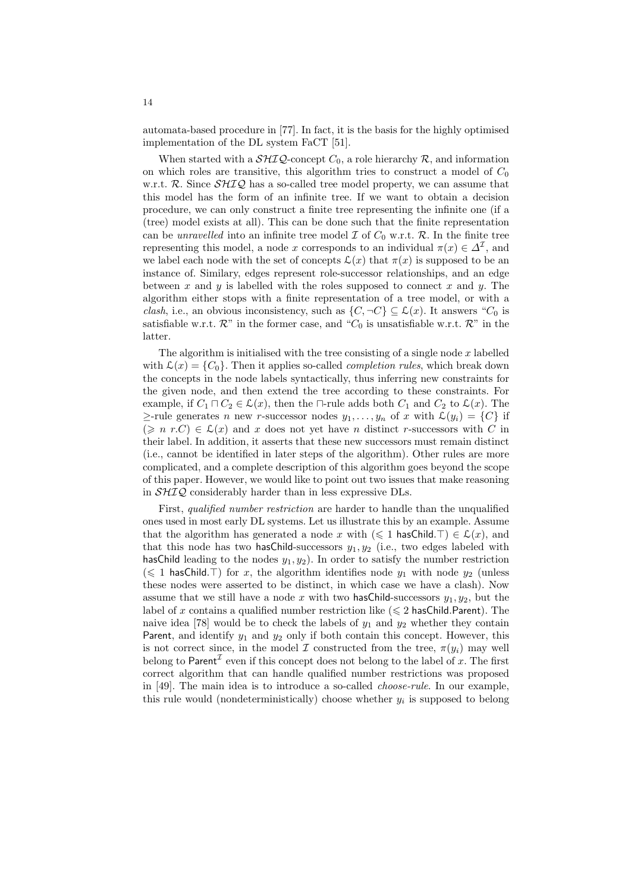automata-based procedure in [77]. In fact, it is the basis for the highly optimised implementation of the DL system FaCT [51].

When started with a  $\mathcal{SHIQ}$ -concept  $C_0$ , a role hierarchy  $\mathcal{R}$ , and information on which roles are transitive, this algorithm tries to construct a model of  $C_0$ w.r.t. R. Since  $\mathcal{SHTQ}$  has a so-called tree model property, we can assume that this model has the form of an infinite tree. If we want to obtain a decision procedure, we can only construct a finite tree representing the infinite one (if a (tree) model exists at all). This can be done such that the finite representation can be *unravelled* into an infinite tree model  $\mathcal I$  of  $C_0$  w.r.t.  $\mathcal R$ . In the finite tree representing this model, a node x corresponds to an individual  $\pi(x) \in \Delta^{\mathcal{I}}$ , and we label each node with the set of concepts  $\mathcal{L}(x)$  that  $\pi(x)$  is supposed to be an instance of. Similary, edges represent role-successor relationships, and an edge between x and y is labelled with the roles supposed to connect x and y. The algorithm either stops with a finite representation of a tree model, or with a clash, i.e., an obvious inconsistency, such as  $\{C, \neg C\} \subseteq \mathcal{L}(x)$ . It answers " $C_0$  is satisfiable w.r.t.  $\mathcal{R}^n$  in the former case, and " $C_0$  is unsatisfiable w.r.t.  $\mathcal{R}^n$  in the latter.

The algorithm is initialised with the tree consisting of a single node  $x$  labelled with  $\mathcal{L}(x) = \{C_0\}$ . Then it applies so-called *completion rules*, which break down the concepts in the node labels syntactically, thus inferring new constraints for the given node, and then extend the tree according to these constraints. For example, if  $C_1 \sqcap C_2 \in \mathcal{L}(x)$ , then the  $\sqcap$ -rule adds both  $C_1$  and  $C_2$  to  $\mathcal{L}(x)$ . The  $\geq$ -rule generates *n* new *r*-successor nodes  $y_1, \ldots, y_n$  of *x* with  $\mathcal{L}(y_i) = \{C\}$  if  $(\geqslant n r.C) \in \mathcal{L}(x)$  and x does not yet have n distinct r-successors with C in their label. In addition, it asserts that these new successors must remain distinct (i.e., cannot be identified in later steps of the algorithm). Other rules are more complicated, and a complete description of this algorithm goes beyond the scope of this paper. However, we would like to point out two issues that make reasoning in  $\mathcal{SHTQ}$  considerably harder than in less expressive DLs.

First, qualified number restriction are harder to handle than the unqualified ones used in most early DL systems. Let us illustrate this by an example. Assume that the algorithm has generated a node x with  $(\leq 1 \text{ hasChild}.\top) \in \mathcal{L}(x)$ , and that this node has two has Child-successors  $y_1, y_2$  (i.e., two edges labeled with hasChild leading to the nodes  $y_1, y_2$ ). In order to satisfy the number restriction  $(\leq 1$  has Child.<sup> $\top$ </sup>) for x, the algorithm identifies node y<sub>1</sub> with node y<sub>2</sub> (unless these nodes were asserted to be distinct, in which case we have a clash). Now assume that we still have a node x with two has Child-successors  $y_1, y_2$ , but the label of x contains a qualified number restriction like  $(\leq 2$  has Child. Parent). The naive idea [78] would be to check the labels of  $y_1$  and  $y_2$  whether they contain Parent, and identify  $y_1$  and  $y_2$  only if both contain this concept. However, this is not correct since, in the model I constructed from the tree,  $\pi(y_i)$  may well belong to Parent<sup> $I$ </sup> even if this concept does not belong to the label of x. The first correct algorithm that can handle qualified number restrictions was proposed in [49]. The main idea is to introduce a so-called choose-rule. In our example, this rule would (nondeterministically) choose whether  $y_i$  is supposed to belong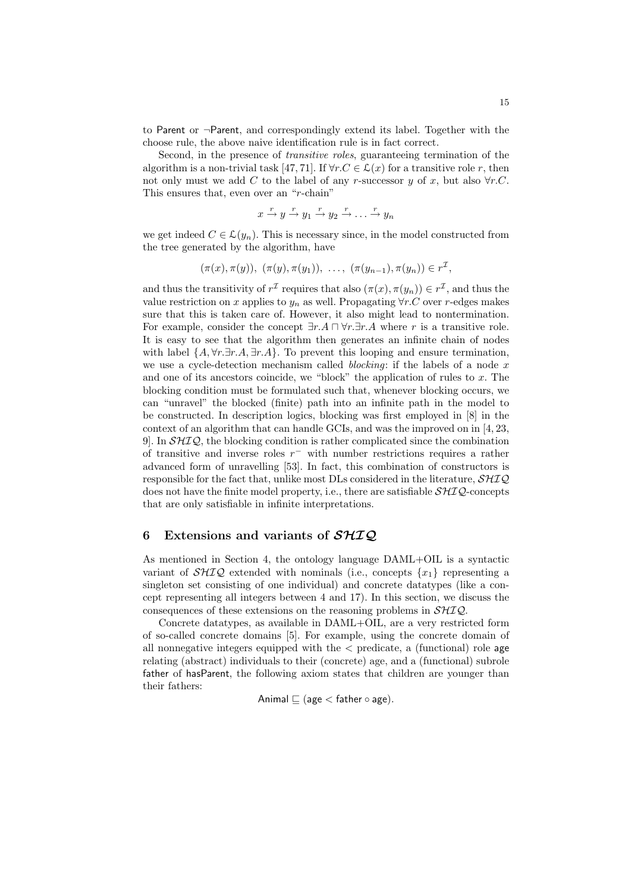to Parent or ¬Parent, and correspondingly extend its label. Together with the choose rule, the above naive identification rule is in fact correct.

Second, in the presence of transitive roles, guaranteeing termination of the algorithm is a non-trivial task [47, 71]. If  $\forall r.C \in \mathcal{L}(x)$  for a transitive role r, then not only must we add C to the label of any r-successor y of x, but also  $\forall r.C$ . This ensures that, even over an "r-chain"

$$
x \xrightarrow{r} y \xrightarrow{r} y_1 \xrightarrow{r} y_2 \xrightarrow{r} \dots \xrightarrow{r} y_n
$$

we get indeed  $C \in \mathcal{L}(y_n)$ . This is necessary since, in the model constructed from the tree generated by the algorithm, have

$$
(\pi(x), \pi(y)), (\pi(y), \pi(y_1)), \ldots, (\pi(y_{n-1}), \pi(y_n)) \in r^{\mathcal{I}},
$$

and thus the transitivity of  $r^{\mathcal{I}}$  requires that also  $(\pi(x), \pi(y_n)) \in r^{\mathcal{I}}$ , and thus the value restriction on x applies to  $y_n$  as well. Propagating  $\forall r.C$  over r-edges makes sure that this is taken care of. However, it also might lead to nontermination. For example, consider the concept  $\exists r.A \sqcap \forall r.\exists r.A$  where r is a transitive role. It is easy to see that the algorithm then generates an infinite chain of nodes with label  $\{A, \forall r \exists r.A, \exists r.A\}$ . To prevent this looping and ensure termination, we use a cycle-detection mechanism called *blocking*: if the labels of a node  $x$ and one of its ancestors coincide, we "block" the application of rules to  $x$ . The blocking condition must be formulated such that, whenever blocking occurs, we can "unravel" the blocked (finite) path into an infinite path in the model to be constructed. In description logics, blocking was first employed in [8] in the context of an algorithm that can handle GCIs, and was the improved on in [4, 23, 9. In  $\mathcal{SHTQ}$ , the blocking condition is rather complicated since the combination of transitive and inverse roles  $r^-$  with number restrictions requires a rather advanced form of unravelling [53]. In fact, this combination of constructors is responsible for the fact that, unlike most DLs considered in the literature,  $\mathcal{SHTQ}$ does not have the finite model property, i.e., there are satisfiable  $\mathcal{SHIQ}$ -concepts that are only satisfiable in infinite interpretations.

## 6 Extensions and variants of  $\mathcal{SHIQ}$

As mentioned in Section 4, the ontology language DAML+OIL is a syntactic variant of  $\mathcal{SHIQ}$  extended with nominals (i.e., concepts  $\{x_1\}$  representing a singleton set consisting of one individual) and concrete datatypes (like a concept representing all integers between 4 and 17). In this section, we discuss the consequences of these extensions on the reasoning problems in  $\mathcal{SHIQ}$ .

Concrete datatypes, as available in DAML+OIL, are a very restricted form of so-called concrete domains [5]. For example, using the concrete domain of all nonnegative integers equipped with the  $\lt$  predicate, a (functional) role age relating (abstract) individuals to their (concrete) age, and a (functional) subrole father of hasParent, the following axiom states that children are younger than their fathers:

Animal  $\Box$  (age  $\lt$  father  $\circ$  age).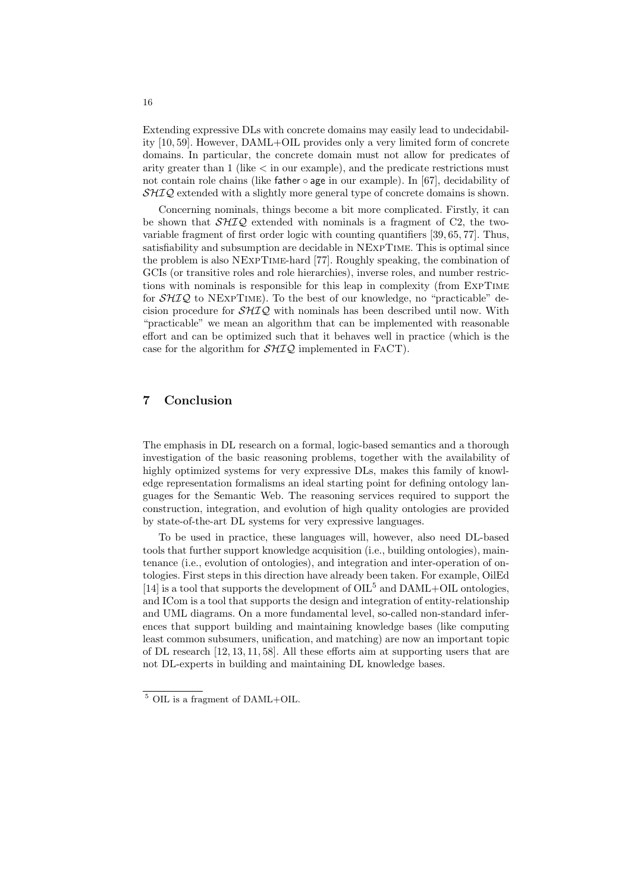Extending expressive DLs with concrete domains may easily lead to undecidability [10, 59]. However, DAML+OIL provides only a very limited form of concrete domains. In particular, the concrete domain must not allow for predicates of arity greater than 1 (like < in our example), and the predicate restrictions must not contain role chains (like father  $\circ$  age in our example). In [67], decidability of SHIQ extended with a slightly more general type of concrete domains is shown.

Concerning nominals, things become a bit more complicated. Firstly, it can be shown that  $\mathcal{SHIQ}$  extended with nominals is a fragment of C2, the twovariable fragment of first order logic with counting quantifiers [39, 65, 77]. Thus, satisfiability and subsumption are decidable in NExpTime. This is optimal since the problem is also NExpTime-hard [77]. Roughly speaking, the combination of GCIs (or transitive roles and role hierarchies), inverse roles, and number restrictions with nominals is responsible for this leap in complexity (from ExpTime for  $\mathcal{SHQ}$  to NEXPTIME). To the best of our knowledge, no "practicable" decision procedure for  $\mathcal{SHIQ}$  with nominals has been described until now. With "practicable" we mean an algorithm that can be implemented with reasonable effort and can be optimized such that it behaves well in practice (which is the case for the algorithm for  $\mathcal{SHIQ}$  implemented in FACT).

# 7 Conclusion

The emphasis in DL research on a formal, logic-based semantics and a thorough investigation of the basic reasoning problems, together with the availability of highly optimized systems for very expressive DLs, makes this family of knowledge representation formalisms an ideal starting point for defining ontology languages for the Semantic Web. The reasoning services required to support the construction, integration, and evolution of high quality ontologies are provided by state-of-the-art DL systems for very expressive languages.

To be used in practice, these languages will, however, also need DL-based tools that further support knowledge acquisition (i.e., building ontologies), maintenance (i.e., evolution of ontologies), and integration and inter-operation of ontologies. First steps in this direction have already been taken. For example, OilEd [14] is a tool that supports the development of  $OIL<sup>5</sup>$  and  $DAML+OIL$  ontologies, and ICom is a tool that supports the design and integration of entity-relationship and UML diagrams. On a more fundamental level, so-called non-standard inferences that support building and maintaining knowledge bases (like computing least common subsumers, unification, and matching) are now an important topic of DL research [12, 13, 11, 58]. All these efforts aim at supporting users that are not DL-experts in building and maintaining DL knowledge bases.

<sup>5</sup> OIL is a fragment of DAML+OIL.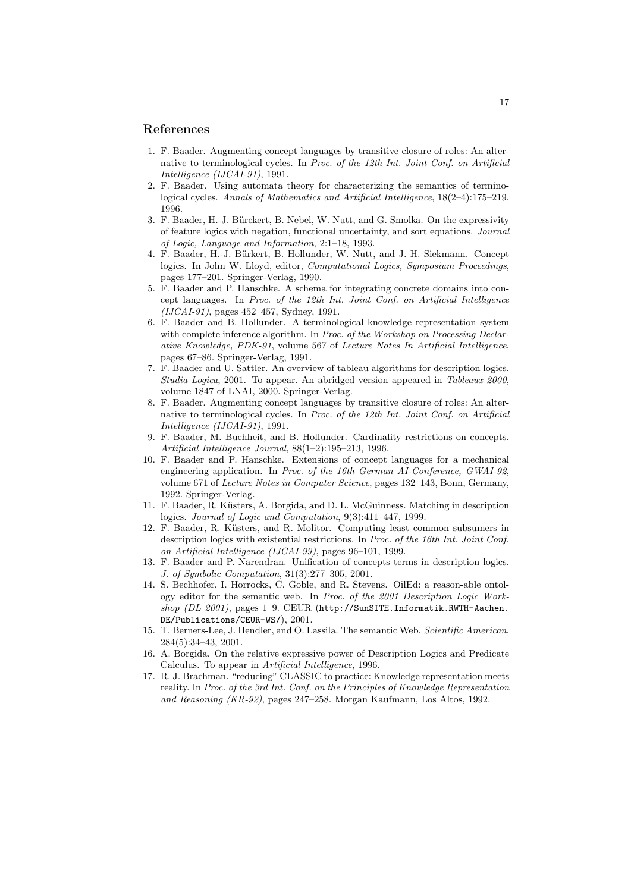# References

- 1. F. Baader. Augmenting concept languages by transitive closure of roles: An alternative to terminological cycles. In Proc. of the 12th Int. Joint Conf. on Artificial Intelligence (IJCAI-91), 1991.
- 2. F. Baader. Using automata theory for characterizing the semantics of terminological cycles. Annals of Mathematics and Artificial Intelligence, 18(2–4):175–219, 1996.
- 3. F. Baader, H.-J. Bürckert, B. Nebel, W. Nutt, and G. Smolka. On the expressivity of feature logics with negation, functional uncertainty, and sort equations. Journal of Logic, Language and Information, 2:1–18, 1993.
- 4. F. Baader, H.-J. Bürkert, B. Hollunder, W. Nutt, and J. H. Siekmann. Concept logics. In John W. Lloyd, editor, Computational Logics, Symposium Proceedings, pages 177–201. Springer-Verlag, 1990.
- 5. F. Baader and P. Hanschke. A schema for integrating concrete domains into concept languages. In Proc. of the 12th Int. Joint Conf. on Artificial Intelligence (IJCAI-91), pages 452–457, Sydney, 1991.
- 6. F. Baader and B. Hollunder. A terminological knowledge representation system with complete inference algorithm. In *Proc. of the Workshop on Processing Declar*ative Knowledge, PDK-91, volume 567 of Lecture Notes In Artificial Intelligence, pages 67–86. Springer-Verlag, 1991.
- 7. F. Baader and U. Sattler. An overview of tableau algorithms for description logics. Studia Logica, 2001. To appear. An abridged version appeared in Tableaux 2000, volume 1847 of LNAI, 2000. Springer-Verlag.
- 8. F. Baader. Augmenting concept languages by transitive closure of roles: An alternative to terminological cycles. In Proc. of the 12th Int. Joint Conf. on Artificial Intelligence (IJCAI-91), 1991.
- 9. F. Baader, M. Buchheit, and B. Hollunder. Cardinality restrictions on concepts. Artificial Intelligence Journal, 88(1–2):195–213, 1996.
- 10. F. Baader and P. Hanschke. Extensions of concept languages for a mechanical engineering application. In Proc. of the 16th German AI-Conference, GWAI-92, volume 671 of Lecture Notes in Computer Science, pages 132–143, Bonn, Germany, 1992. Springer-Verlag.
- 11. F. Baader, R. K¨usters, A. Borgida, and D. L. McGuinness. Matching in description logics. Journal of Logic and Computation, 9(3):411–447, 1999.
- 12. F. Baader, R. K¨usters, and R. Molitor. Computing least common subsumers in description logics with existential restrictions. In Proc. of the 16th Int. Joint Conf. on Artificial Intelligence (IJCAI-99), pages 96–101, 1999.
- 13. F. Baader and P. Narendran. Unification of concepts terms in description logics. J. of Symbolic Computation, 31(3):277–305, 2001.
- 14. S. Bechhofer, I. Horrocks, C. Goble, and R. Stevens. OilEd: a reason-able ontology editor for the semantic web. In Proc. of the 2001 Description Logic Workshop (DL 2001), pages 1-9. CEUR (http://SunSITE.Informatik.RWTH-Aachen. DE/Publications/CEUR-WS/), 2001.
- 15. T. Berners-Lee, J. Hendler, and O. Lassila. The semantic Web. Scientific American, 284(5):34–43, 2001.
- 16. A. Borgida. On the relative expressive power of Description Logics and Predicate Calculus. To appear in Artificial Intelligence, 1996.
- 17. R. J. Brachman. "reducing" CLASSIC to practice: Knowledge representation meets reality. In Proc. of the 3rd Int. Conf. on the Principles of Knowledge Representation and Reasoning (KR-92), pages 247–258. Morgan Kaufmann, Los Altos, 1992.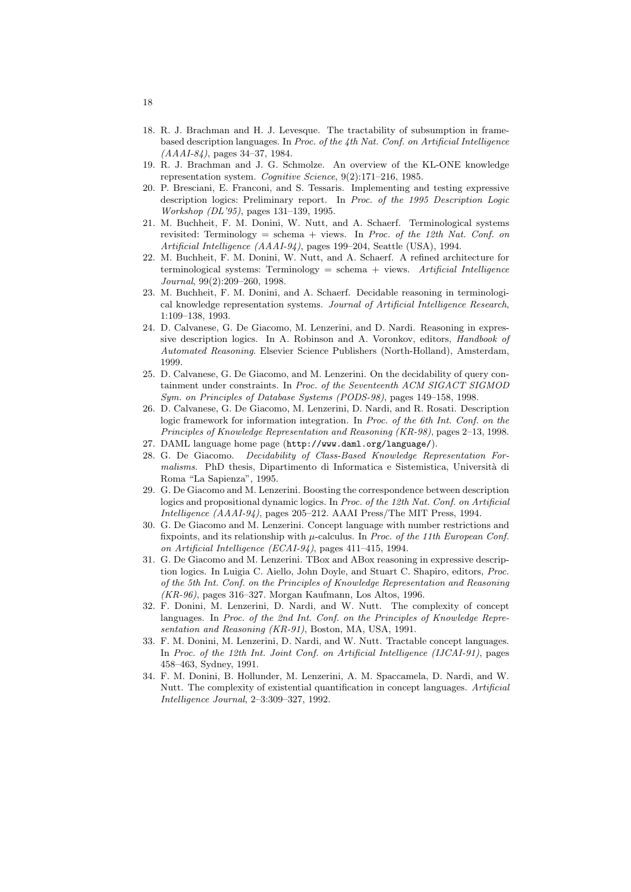- 18. R. J. Brachman and H. J. Levesque. The tractability of subsumption in framebased description languages. In Proc. of the 4th Nat. Conf. on Artificial Intelligence (AAAI-84), pages 34–37, 1984.
- 19. R. J. Brachman and J. G. Schmolze. An overview of the KL-ONE knowledge representation system. Cognitive Science, 9(2):171–216, 1985.
- 20. P. Bresciani, E. Franconi, and S. Tessaris. Implementing and testing expressive description logics: Preliminary report. In Proc. of the 1995 Description Logic Workshop (DL'95), pages 131–139, 1995.
- 21. M. Buchheit, F. M. Donini, W. Nutt, and A. Schaerf. Terminological systems revisited: Terminology = schema + views. In Proc. of the 12th Nat. Conf. on Artificial Intelligence (AAAI-94), pages 199–204, Seattle (USA), 1994.
- 22. M. Buchheit, F. M. Donini, W. Nutt, and A. Schaerf. A refined architecture for terminological systems: Terminology  $=$  schema  $+$  views. Artificial Intelligence Journal, 99(2):209–260, 1998.
- 23. M. Buchheit, F. M. Donini, and A. Schaerf. Decidable reasoning in terminological knowledge representation systems. Journal of Artificial Intelligence Research, 1:109–138, 1993.
- 24. D. Calvanese, G. De Giacomo, M. Lenzerini, and D. Nardi. Reasoning in expressive description logics. In A. Robinson and A. Voronkov, editors, Handbook of Automated Reasoning. Elsevier Science Publishers (North-Holland), Amsterdam, 1999.
- 25. D. Calvanese, G. De Giacomo, and M. Lenzerini. On the decidability of query containment under constraints. In Proc. of the Seventeenth ACM SIGACT SIGMOD Sym. on Principles of Database Systems (PODS-98), pages 149–158, 1998.
- 26. D. Calvanese, G. De Giacomo, M. Lenzerini, D. Nardi, and R. Rosati. Description logic framework for information integration. In Proc. of the 6th Int. Conf. on the Principles of Knowledge Representation and Reasoning (KR-98), pages 2–13, 1998.
- 27. DAML language home page (http://www.daml.org/language/).
- 28. G. De Giacomo. Decidability of Class-Based Knowledge Representation Formalisms. PhD thesis, Dipartimento di Informatica e Sistemistica, Università di Roma "La Sapienza", 1995.
- 29. G. De Giacomo and M. Lenzerini. Boosting the correspondence between description logics and propositional dynamic logics. In Proc. of the 12th Nat. Conf. on Artificial Intelligence (AAAI-94), pages 205–212. AAAI Press/The MIT Press, 1994.
- 30. G. De Giacomo and M. Lenzerini. Concept language with number restrictions and fixpoints, and its relationship with  $\mu$ -calculus. In *Proc. of the 11th European Conf.* on Artificial Intelligence (ECAI-94), pages 411–415, 1994.
- 31. G. De Giacomo and M. Lenzerini. TBox and ABox reasoning in expressive description logics. In Luigia C. Aiello, John Doyle, and Stuart C. Shapiro, editors, Proc. of the 5th Int. Conf. on the Principles of Knowledge Representation and Reasoning  $(KR-96)$ , pages 316–327. Morgan Kaufmann, Los Altos, 1996.
- 32. F. Donini, M. Lenzerini, D. Nardi, and W. Nutt. The complexity of concept languages. In Proc. of the 2nd Int. Conf. on the Principles of Knowledge Representation and Reasoning (KR-91), Boston, MA, USA, 1991.
- 33. F. M. Donini, M. Lenzerini, D. Nardi, and W. Nutt. Tractable concept languages. In Proc. of the 12th Int. Joint Conf. on Artificial Intelligence (IJCAI-91), pages 458–463, Sydney, 1991.
- 34. F. M. Donini, B. Hollunder, M. Lenzerini, A. M. Spaccamela, D. Nardi, and W. Nutt. The complexity of existential quantification in concept languages. Artificial Intelligence Journal, 2–3:309–327, 1992.

18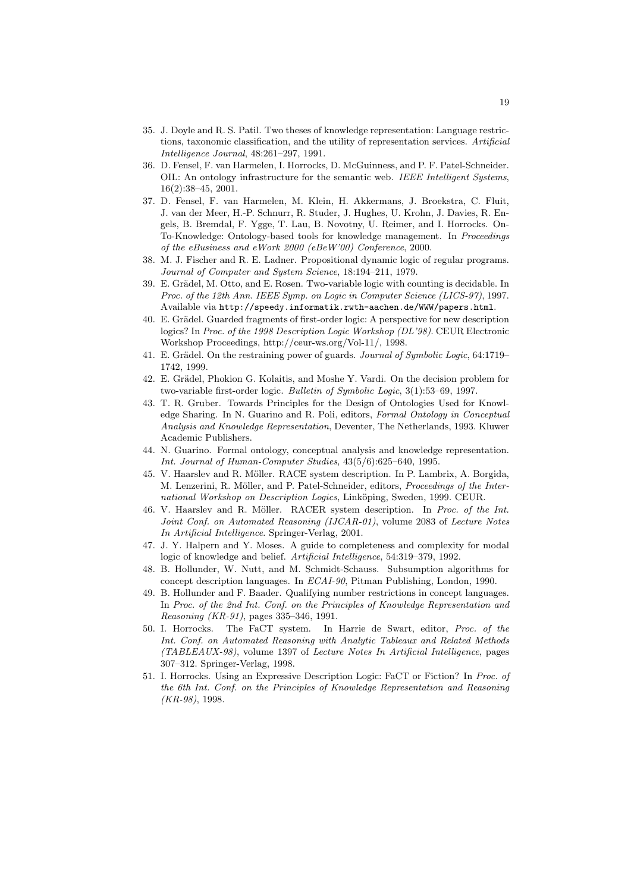- 35. J. Doyle and R. S. Patil. Two theses of knowledge representation: Language restrictions, taxonomic classification, and the utility of representation services. Artificial Intelligence Journal, 48:261–297, 1991.
- 36. D. Fensel, F. van Harmelen, I. Horrocks, D. McGuinness, and P. F. Patel-Schneider. OIL: An ontology infrastructure for the semantic web. IEEE Intelligent Systems, 16(2):38–45, 2001.
- 37. D. Fensel, F. van Harmelen, M. Klein, H. Akkermans, J. Broekstra, C. Fluit, J. van der Meer, H.-P. Schnurr, R. Studer, J. Hughes, U. Krohn, J. Davies, R. Engels, B. Bremdal, F. Ygge, T. Lau, B. Novotny, U. Reimer, and I. Horrocks. On-To-Knowledge: Ontology-based tools for knowledge management. In Proceedings of the eBusiness and eWork 2000 (eBeW'00) Conference, 2000.
- 38. M. J. Fischer and R. E. Ladner. Propositional dynamic logic of regular programs. Journal of Computer and System Science, 18:194–211, 1979.
- 39. E. Grädel, M. Otto, and E. Rosen. Two-variable logic with counting is decidable. In Proc. of the 12th Ann. IEEE Symp. on Logic in Computer Science (LICS-97), 1997. Available via http://speedy.informatik.rwth-aachen.de/WWW/papers.html.
- 40. E. Grädel. Guarded fragments of first-order logic: A perspective for new description logics? In Proc. of the 1998 Description Logic Workshop (DL'98). CEUR Electronic Workshop Proceedings, http://ceur-ws.org/Vol-11/, 1998.
- 41. E. Grädel. On the restraining power of guards. Journal of Symbolic Logic, 64:1719– 1742, 1999.
- 42. E. Grädel, Phokion G. Kolaitis, and Moshe Y. Vardi. On the decision problem for two-variable first-order logic. Bulletin of Symbolic Logic, 3(1):53–69, 1997.
- 43. T. R. Gruber. Towards Principles for the Design of Ontologies Used for Knowledge Sharing. In N. Guarino and R. Poli, editors, Formal Ontology in Conceptual Analysis and Knowledge Representation, Deventer, The Netherlands, 1993. Kluwer Academic Publishers.
- 44. N. Guarino. Formal ontology, conceptual analysis and knowledge representation. Int. Journal of Human-Computer Studies, 43(5/6):625–640, 1995.
- 45. V. Haarslev and R. Möller. RACE system description. In P. Lambrix, A. Borgida, M. Lenzerini, R. Möller, and P. Patel-Schneider, editors, Proceedings of the International Workshop on Description Logics, Linköping, Sweden, 1999. CEUR.
- 46. V. Haarslev and R. Möller. RACER system description. In Proc. of the Int. Joint Conf. on Automated Reasoning (IJCAR-01), volume 2083 of Lecture Notes In Artificial Intelligence. Springer-Verlag, 2001.
- 47. J. Y. Halpern and Y. Moses. A guide to completeness and complexity for modal logic of knowledge and belief. Artificial Intelligence, 54:319–379, 1992.
- 48. B. Hollunder, W. Nutt, and M. Schmidt-Schauss. Subsumption algorithms for concept description languages. In ECAI-90, Pitman Publishing, London, 1990.
- 49. B. Hollunder and F. Baader. Qualifying number restrictions in concept languages. In Proc. of the 2nd Int. Conf. on the Principles of Knowledge Representation and Reasoning (KR-91), pages 335–346, 1991.
- 50. I. Horrocks. The FaCT system. In Harrie de Swart, editor, Proc. of the Int. Conf. on Automated Reasoning with Analytic Tableaux and Related Methods (TABLEAUX-98), volume 1397 of Lecture Notes In Artificial Intelligence, pages 307–312. Springer-Verlag, 1998.
- 51. I. Horrocks. Using an Expressive Description Logic: FaCT or Fiction? In Proc. of the 6th Int. Conf. on the Principles of Knowledge Representation and Reasoning (KR-98), 1998.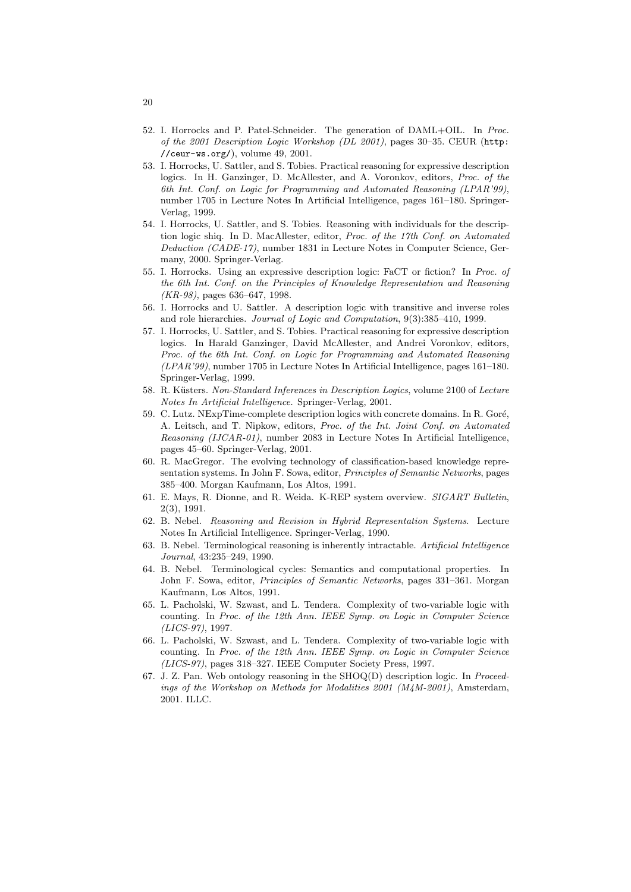- 52. I. Horrocks and P. Patel-Schneider. The generation of DAML+OIL. In Proc. of the 2001 Description Logic Workshop (DL 2001), pages 30–35. CEUR (http: //ceur-ws.org/), volume  $49, 2001$ .
- 53. I. Horrocks, U. Sattler, and S. Tobies. Practical reasoning for expressive description logics. In H. Ganzinger, D. McAllester, and A. Voronkov, editors, Proc. of the 6th Int. Conf. on Logic for Programming and Automated Reasoning (LPAR'99), number 1705 in Lecture Notes In Artificial Intelligence, pages 161–180. Springer-Verlag, 1999.
- 54. I. Horrocks, U. Sattler, and S. Tobies. Reasoning with individuals for the description logic shiq. In D. MacAllester, editor, Proc. of the 17th Conf. on Automated Deduction (CADE-17), number 1831 in Lecture Notes in Computer Science, Germany, 2000. Springer-Verlag.
- 55. I. Horrocks. Using an expressive description logic: FaCT or fiction? In Proc. of the 6th Int. Conf. on the Principles of Knowledge Representation and Reasoning (KR-98), pages 636–647, 1998.
- 56. I. Horrocks and U. Sattler. A description logic with transitive and inverse roles and role hierarchies. Journal of Logic and Computation, 9(3):385–410, 1999.
- 57. I. Horrocks, U. Sattler, and S. Tobies. Practical reasoning for expressive description logics. In Harald Ganzinger, David McAllester, and Andrei Voronkov, editors, Proc. of the 6th Int. Conf. on Logic for Programming and Automated Reasoning (LPAR'99), number 1705 in Lecture Notes In Artificial Intelligence, pages 161–180. Springer-Verlag, 1999.
- 58. R. Küsters. Non-Standard Inferences in Description Logics, volume 2100 of Lecture Notes In Artificial Intelligence. Springer-Verlag, 2001.
- 59. C. Lutz. NExpTime-complete description logics with concrete domains. In R. Goré, A. Leitsch, and T. Nipkow, editors, Proc. of the Int. Joint Conf. on Automated Reasoning (IJCAR-01), number 2083 in Lecture Notes In Artificial Intelligence, pages 45–60. Springer-Verlag, 2001.
- 60. R. MacGregor. The evolving technology of classification-based knowledge representation systems. In John F. Sowa, editor, Principles of Semantic Networks, pages 385–400. Morgan Kaufmann, Los Altos, 1991.
- 61. E. Mays, R. Dionne, and R. Weida. K-REP system overview. SIGART Bulletin, 2(3), 1991.
- 62. B. Nebel. Reasoning and Revision in Hybrid Representation Systems. Lecture Notes In Artificial Intelligence. Springer-Verlag, 1990.
- 63. B. Nebel. Terminological reasoning is inherently intractable. Artificial Intelligence Journal, 43:235–249, 1990.
- 64. B. Nebel. Terminological cycles: Semantics and computational properties. In John F. Sowa, editor, Principles of Semantic Networks, pages 331–361. Morgan Kaufmann, Los Altos, 1991.
- 65. L. Pacholski, W. Szwast, and L. Tendera. Complexity of two-variable logic with counting. In Proc. of the 12th Ann. IEEE Symp. on Logic in Computer Science (LICS-97), 1997.
- 66. L. Pacholski, W. Szwast, and L. Tendera. Complexity of two-variable logic with counting. In Proc. of the 12th Ann. IEEE Symp. on Logic in Computer Science (LICS-97), pages 318–327. IEEE Computer Society Press, 1997.
- 67. J. Z. Pan. Web ontology reasoning in the SHOQ(D) description logic. In Proceedings of the Workshop on Methods for Modalities 2001 (M4M-2001), Amsterdam, 2001. ILLC.

20